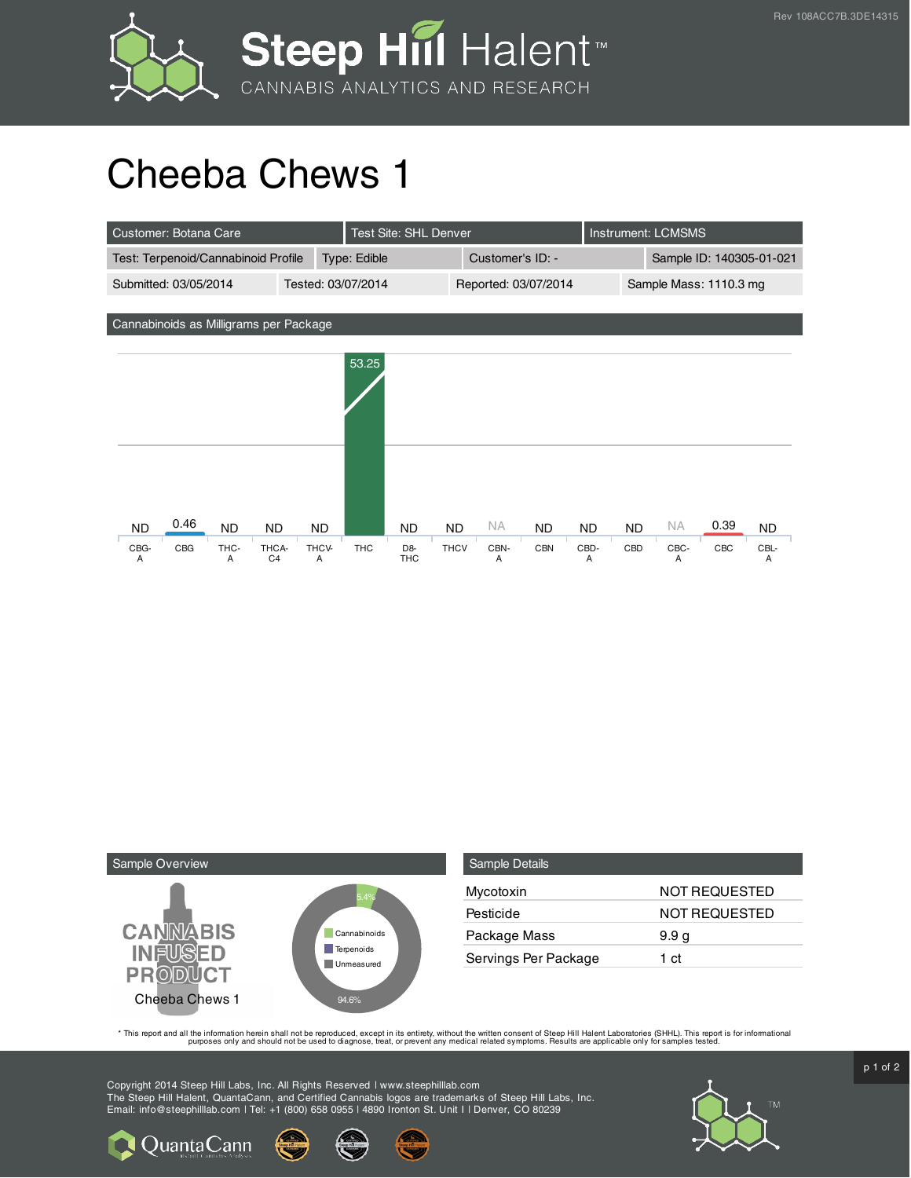



## Cheeba Chews 1

| Customer: Botana Care                                    | <b>Test Site: SHL Denver</b>                             |                                        | Instrument: LCMSMS                                 |  |
|----------------------------------------------------------|----------------------------------------------------------|----------------------------------------|----------------------------------------------------|--|
| Test: Terpenoid/Cannabinoid Profile                      | Type: Edible                                             | Customer's ID: -                       | Sample ID: 140305-01-021                           |  |
| Submitted: 03/05/2014                                    | Tested: 03/07/2014                                       | Reported: 03/07/2014                   | Sample Mass: 1110.3 mg                             |  |
|                                                          |                                                          |                                        |                                                    |  |
| Cannabinoids as Milligrams per Package                   |                                                          |                                        |                                                    |  |
|                                                          | 53.25                                                    |                                        |                                                    |  |
|                                                          |                                                          |                                        |                                                    |  |
|                                                          |                                                          |                                        |                                                    |  |
|                                                          |                                                          |                                        |                                                    |  |
|                                                          |                                                          |                                        |                                                    |  |
|                                                          |                                                          |                                        |                                                    |  |
|                                                          |                                                          |                                        |                                                    |  |
| 0.46<br><b>ND</b><br><b>ND</b><br><b>ND</b>              | <b>ND</b><br><b>ND</b>                                   | <b>NA</b><br><b>ND</b><br><b>ND</b>    | 0.39<br><b>NA</b><br><b>ND</b><br><b>ND</b><br>ND. |  |
| CBG<br>CBG-<br>THC-<br>THCA-<br>C <sub>4</sub><br>Α<br>Α | THCV-<br><b>THC</b><br>D <sub>8</sub><br><b>THC</b><br>Α | <b>THCV</b><br>CBN-<br><b>CBN</b><br>Α | CBC<br>CBD-<br>CBD<br>CBC-<br>CBL-<br>Α<br>Α<br>Α  |  |



Quanta Cann

| Sample Details       |                      |
|----------------------|----------------------|
| Mycotoxin            | NOT REQUESTED        |
| Pesticide            | <b>NOT REQUESTED</b> |
| Package Mass         | 9.9 <sub>q</sub>     |
| Servings Per Package | 1 ct                 |

This report and all the information herein shall not be reporduced, except in its entirety, without the written consent of Steep Hill Halent Laboratories (SHHL). This report is for informational all the instance, treat, or

Copyright 2014 Steep Hill Labs, Inc. All Rights Reserved | www.steephilllab.com The Steep Hill Halent, QuantaCann, and Certified Cannabis logos are trademarks of Steep Hill Labs, Inc. Email: info@steephilllab.com | Tel: +1 (800) 658 0955 | 4890 Ironton St. Unit I | Denver, CO 80239